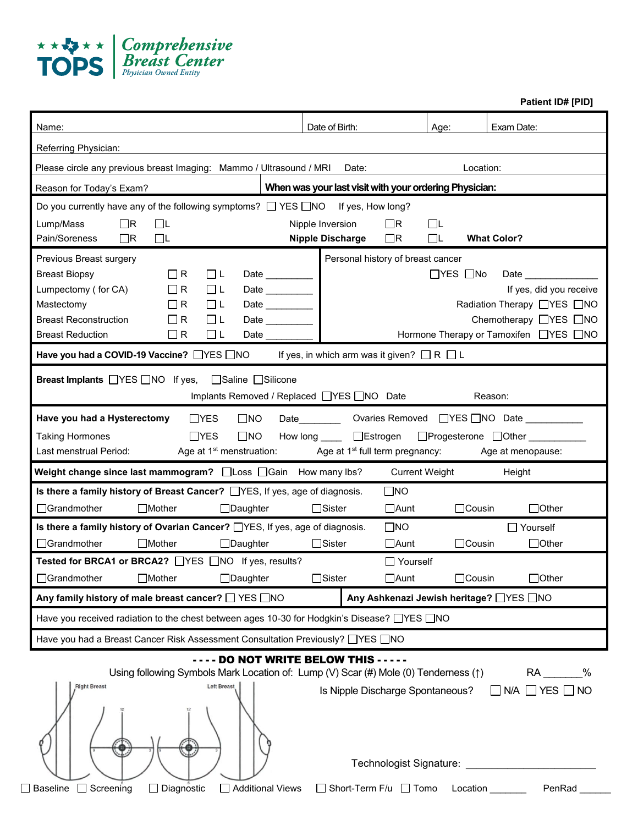

**Patient ID# [PID]**

| Name:                                                                                                                                                                                                                                                                                                                                                                      | Date of Birth:                                                                                           | Age:                  | Exam Date:                                                                                                                                       |
|----------------------------------------------------------------------------------------------------------------------------------------------------------------------------------------------------------------------------------------------------------------------------------------------------------------------------------------------------------------------------|----------------------------------------------------------------------------------------------------------|-----------------------|--------------------------------------------------------------------------------------------------------------------------------------------------|
| Referring Physician:                                                                                                                                                                                                                                                                                                                                                       |                                                                                                          |                       |                                                                                                                                                  |
| Please circle any previous breast Imaging: Mammo / Ultrasound / MRI Date:                                                                                                                                                                                                                                                                                                  |                                                                                                          | Location:             |                                                                                                                                                  |
| Reason for Today's Exam?                                                                                                                                                                                                                                                                                                                                                   | When was your last visit with your ordering Physician:                                                   |                       |                                                                                                                                                  |
| Do you currently have any of the following symptoms? $\Box$ YES $\Box$ NO If yes, How long?<br>Lump/Mass<br>$\Box$ R<br>◫<br>Pain/Soreness<br>$\Box$ L<br>$\Box$ R                                                                                                                                                                                                         | Nipple Inversion<br>$\Box$ R<br>Nipple Discharge □R                                                      | ⊡∟<br>$\Box$ L        | <b>What Color?</b>                                                                                                                               |
| Previous Breast surgery<br>$\Box$ R<br>$\Box$<br><b>Breast Biopsy</b><br>$\Box$ L<br>Lumpectomy (for CA)<br>$\Box$ R<br>$\Box$ L<br>Mastectomy<br>$\Box$ R<br>$\Box$ L<br><b>Breast Reconstruction</b><br>$\Box$ R<br>□└<br><b>Breast Reduction</b><br>$\Box$ R                                                                                                            | Personal history of breast cancer<br>Date _________<br>Date _________<br>Date ________<br>Date _________ | $\Box$ YES $\Box$ No  | Date ________________<br>If yes, did you receive<br>Radiation Therapy □YES □NO<br>Chemotherapy □YES □NO<br>Hormone Therapy or Tamoxifen □YES □NO |
| Have you had a COVID-19 Vaccine? $\Box$ YES $\Box$ NO If yes, in which arm was it given? $\Box$ R $\Box$ L                                                                                                                                                                                                                                                                 |                                                                                                          |                       |                                                                                                                                                  |
| <b>Breast Implants</b> □YES □NO If yes, □Saline □Silicone                                                                                                                                                                                                                                                                                                                  | Implants Removed / Replaced □ YES □ NO Date                                                              |                       | Reason:                                                                                                                                          |
| $\Box$ YES<br>$\square$ NO<br>Date __________ Ovaries Removed UYES UNO Date _____________<br>Have you had a Hysterectomy<br>$\Box$ YES<br>$\square$ NO<br>How long _____ □Estrogen □Progesterone □Other ________<br><b>Taking Hormones</b><br>Last menstrual Period:<br>Age at 1 <sup>st</sup> menstruation: Age at 1 <sup>st</sup> full term pregnancy: Age at menopause: |                                                                                                          |                       |                                                                                                                                                  |
| Weight change since last mammogram? $\Box$ Loss $\Box$ Gain How many lbs?                                                                                                                                                                                                                                                                                                  |                                                                                                          | <b>Current Weight</b> | Height                                                                                                                                           |
| Is there a family history of Breast Cancer? <b>THES</b> , If yes, age of diagnosis.<br>□Grandmother<br>$\Box$ Mother<br>$\Box$ Daughter                                                                                                                                                                                                                                    | $\square$ NO<br>$\Box$ Sister<br>$\Box$ Aunt                                                             | $\Box$ Cousin         | $\Box$ Other                                                                                                                                     |
| Is there a family history of Ovarian Cancer? TYES, If yes, age of diagnosis.<br>□Grandmother<br>$\Box$ Mother<br>$\Box$ Daughter<br>Tested for BRCA1 or BRCA2? □ YES □ NO If yes, results?                                                                                                                                                                                 | $\square$ NO<br>$\Box$ Aunt<br>$\Box$ Sister                                                             | $\Box$ Cousin         | $\Box$ Yourself<br>$\Box$ Other                                                                                                                  |
| □Grandmother □Mother □Daughter □Sister                                                                                                                                                                                                                                                                                                                                     | $\Box$ Yourself<br>$\Box$ Aunt                                                                           | □Cousin               | $\Box$ Other                                                                                                                                     |
| Any family history of male breast cancer? $\Box$ YES $\Box$ NO                                                                                                                                                                                                                                                                                                             |                                                                                                          |                       |                                                                                                                                                  |
| Any Ashkenazi Jewish heritage? TYES TNO<br>Have you received radiation to the chest between ages 10-30 for Hodgkin's Disease? TYES TNO                                                                                                                                                                                                                                     |                                                                                                          |                       |                                                                                                                                                  |
|                                                                                                                                                                                                                                                                                                                                                                            |                                                                                                          |                       |                                                                                                                                                  |
|                                                                                                                                                                                                                                                                                                                                                                            |                                                                                                          |                       |                                                                                                                                                  |
| Have you had a Breast Cancer Risk Assessment Consultation Previously? □YES □NO<br>Using following Symbols Mark Location of: Lump (V) Scar (#) Mole (0) Tenderness (1)<br>Left Breast<br><b>Right Breast</b>                                                                                                                                                                | - - DO NOT WRITE BELOW THIS - - - - -<br>Is Nipple Discharge Spontaneous?                                |                       | RA %<br>$\Box$ N/A $\Box$ Yes $\Box$ No<br>Technologist Signature: Technologist Signature:                                                       |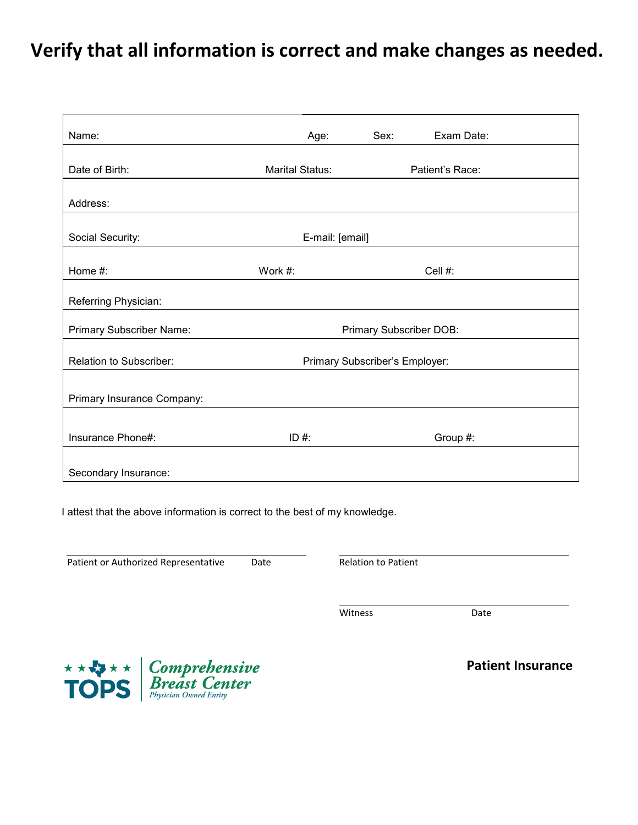# **Verify that all information is correct and make changes as needed.**

| Name:                      | Age:                           | Sex:                    | Exam Date:      |
|----------------------------|--------------------------------|-------------------------|-----------------|
|                            |                                |                         |                 |
| Date of Birth:             | Marital Status:                |                         | Patient's Race: |
| Address:                   |                                |                         |                 |
|                            |                                |                         |                 |
| Social Security:           | E-mail: [email]                |                         |                 |
|                            |                                |                         |                 |
| Home #:                    | Work #:                        |                         | Cell #:         |
| Referring Physician:       |                                |                         |                 |
| Primary Subscriber Name:   |                                | Primary Subscriber DOB: |                 |
| Relation to Subscriber:    | Primary Subscriber's Employer: |                         |                 |
|                            |                                |                         |                 |
| Primary Insurance Company: |                                |                         |                 |
|                            |                                |                         |                 |
| Insurance Phone#:          | ID #:                          |                         | Group #:        |
| Secondary Insurance:       |                                |                         |                 |

I attest that the above information is correct to the best of my knowledge.

Patient or Authorized Representative Date **Date Relation to Patient** 

Witness Date



**Patient Insurance**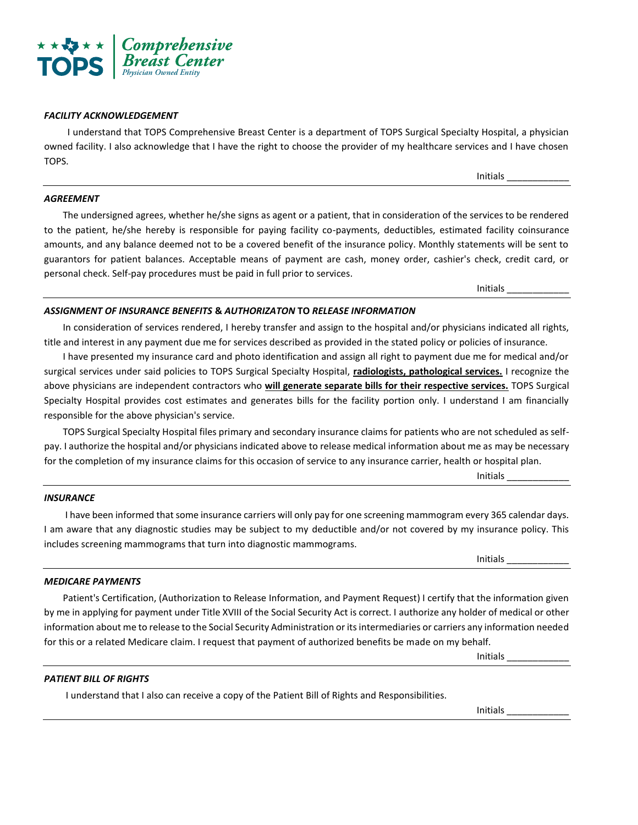

*FACILITY ACKNOWLEDGEMENT*

I understand that TOPS Comprehensive Breast Center is a department of TOPS Surgical Specialty Hospital, a physician owned facility. I also acknowledge that I have the right to choose the provider of my healthcare services and I have chosen TOPS.

# *AGREEMENT*

The undersigned agrees, whether he/she signs as agent or a patient, that in consideration of the services to be rendered to the patient, he/she hereby is responsible for paying facility co-payments, deductibles, estimated facility coinsurance amounts, and any balance deemed not to be a covered benefit of the insurance policy. Monthly statements will be sent to guarantors for patient balances. Acceptable means of payment are cash, money order, cashier's check, credit card, or personal check. Self-pay procedures must be paid in full prior to services.

Initials \_\_\_\_\_\_\_\_\_\_\_\_

# *ASSIGNMENT OF INSURANCE BENEFITS* **&** *AUTHORIZATON* **TO** *RELEASE INFORMATION*

In consideration of services rendered, I hereby transfer and assign to the hospital and/or physicians indicated all rights, title and interest in any payment due me for services described as provided in the stated policy or policies of insurance.

I have presented my insurance card and photo identification and assign all right to payment due me for medical and/or surgical services under said policies to TOPS Surgical Specialty Hospital, **radiologists, pathological services.** I recognize the above physicians are independent contractors who **will generate separate bills for their respective services.** TOPS Surgical Specialty Hospital provides cost estimates and generates bills for the facility portion only. I understand I am financially responsible for the above physician's service.

TOPS Surgical Specialty Hospital files primary and secondary insurance claims for patients who are not scheduled as selfpay. I authorize the hospital and/or physicians indicated above to release medical information about me as may be necessary *Physician Owned Entity* for the completion of my insurance claims for this occasion of service to any insurance carrier, health or hospital plan.

Initials \_\_\_\_\_\_\_\_\_\_\_\_

### *INSURANCE*

I have been informed that some insurance carriers will only pay for one screening mammogram every 365 calendar days. I am aware that any diagnostic studies may be subject to my deductible and/or not covered by my insurance policy. This includes screening mammograms that turn into diagnostic mammograms.

Initials \_\_\_\_\_\_\_\_\_\_\_\_

#### *MEDICARE PAYMENTS*

Patient's Certification, (Authorization to Release Information, and Payment Request) I certify that the information given by me in applying for payment under Title XVIII of the Social Security Act is correct. I authorize any holder of medical or other information about me to release to the Social Security Administration or its intermediaries or carriers any information needed for this or a related Medicare claim. I request that payment of authorized benefits be made on my behalf.

Initials \_\_\_\_\_\_\_\_\_\_\_\_

#### *PATIENT BILL OF RIGHTS*

I understand that I also can receive a copy of the Patient Bill of Rights and Responsibilities.

Initials \_\_\_\_\_\_\_\_\_\_\_\_

Initials \_\_\_\_\_\_\_\_\_\_\_\_

**Comprehensive Breast Center Compared Entity** Physician Owned Entity *Physician Owned Entity*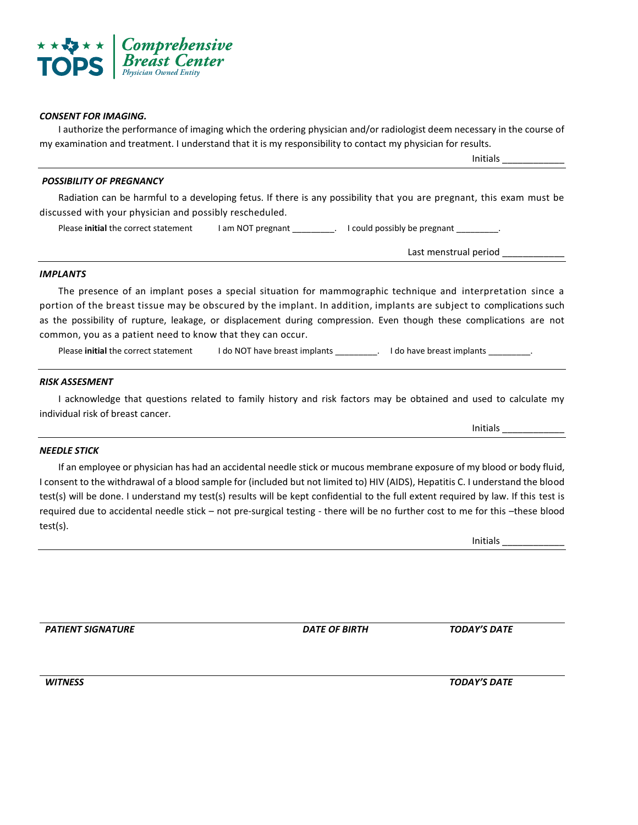

# *CONSENT FOR IMAGING.*

I authorize the performance of imaging which the ordering physician and/or radiologist deem necessary in the course of my examination and treatment. I understand that it is my responsibility to contact my physician for results.

Initials \_\_\_\_\_\_\_\_\_\_\_\_

# *POSSIBILITY OF PREGNANCY*

Radiation can be harmful to a developing fetus. If there is any possibility that you are pregnant, this exam must be discussed with your physician and possibly rescheduled.

Please **initial** the correct statement I am NOT pregnant \_\_\_\_\_\_\_\_\_. I could possibly be pregnant \_\_\_\_\_\_\_\_\_\_.

Last menstrual period \_\_\_\_\_\_\_\_

# *IMPLANTS*

The presence of an implant poses a special situation for mammographic technique and interpretation since a portion of the breast tissue may be obscured by the implant. In addition, implants are subject to complications such as the possibility of rupture, leakage, or displacement during compression. Even though these complications are not common, you as a patient need to know that they can occur.

Please **initial** the correct statement I do NOT have breast implants \_\_\_\_\_\_\_\_\_. I do have breast implants \_\_\_\_

### *RISK ASSESMENT*

I acknowledge that questions related to family history and risk factors may be obtained and used to calculate my individual risk of breast cancer.

### *NEEDLE STICK Physician Owned Entity*

If an employee or physician has had an accidental needle stick or mucous membrane exposure of my blood or body fluid, I consent to the withdrawal of a blood sample for (included but not limited to) HIV (AIDS), Hepatitis C. I understand the blood test(s) will be done. I understand my test(s) results will be kept confidential to the full extent required by law. If this test is required due to accidental needle stick – not pre-surgical testing - there will be no further cost to me for this –these blood test(s).

Initials \_\_\_\_\_\_\_\_\_\_\_\_

Initials \_\_\_\_\_\_\_\_\_\_\_\_

*PATIENT SIGNATURE DATE OF BIRTH TODAY'S DATE*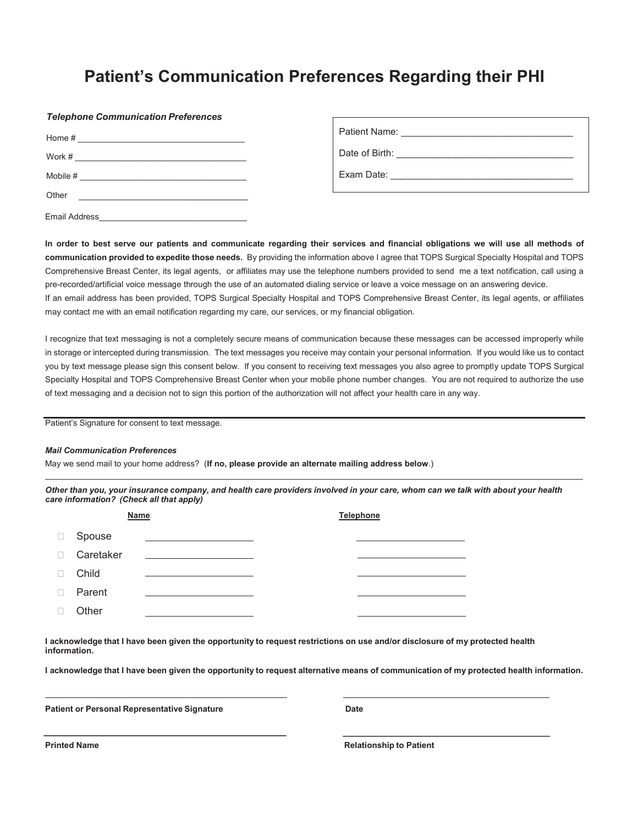# **Patient's Communication Preferences Regarding their PHI**

#### *Telephone Communication Preferences*

| Home $#$<br>$\begin{array}{cccccccccccccc} \multicolumn{2}{c}{} & \multicolumn{2}{c}{} & \multicolumn{2}{c}{} & \multicolumn{2}{c}{} & \multicolumn{2}{c}{} & \multicolumn{2}{c}{} & \multicolumn{2}{c}{} & \multicolumn{2}{c}{} & \multicolumn{2}{c}{} & \multicolumn{2}{c}{} & \multicolumn{2}{c}{} & \multicolumn{2}{c}{} & \multicolumn{2}{c}{} & \multicolumn{2}{c}{} & \multicolumn{2}{c}{} & \multicolumn{2}{c}{} & \multicolumn{2}{c}{} & \multicolumn{2}{c}{} & \multicolumn{2}{c}{} & \$ |  |
|----------------------------------------------------------------------------------------------------------------------------------------------------------------------------------------------------------------------------------------------------------------------------------------------------------------------------------------------------------------------------------------------------------------------------------------------------------------------------------------------------|--|
| Work #                                                                                                                                                                                                                                                                                                                                                                                                                                                                                             |  |
| Mobile # <u>_______________________________</u>                                                                                                                                                                                                                                                                                                                                                                                                                                                    |  |
| Other<br><u> 1989 - John Stone, amerikansk politiker (</u>                                                                                                                                                                                                                                                                                                                                                                                                                                         |  |
| Email Address                                                                                                                                                                                                                                                                                                                                                                                                                                                                                      |  |

| Patient Name: |  |
|---------------|--|
|               |  |

Date of Birth:

Exam Date:

**In order to best serve our patients and communicate regarding their services and financial obligations we will use all methods of communication provided to expedite those needs.** By providing the information above I agree that TOPS Surgical Specialty Hospital and TOPS Comprehensive Breast Center, its legal agents, or affiliates may use the telephone numbers provided to send me a text notification, call using a pre-recorded/artificial voice message through the use of an automated dialing service or leave a voice message on an answering device. If an email address has been provided, TOPS Surgical Specialty Hospital and TOPS Comprehensive Breast Center, its legal agents, or affiliates may contact me with an email notification regarding my care, our services, or my financial obligation.

I recognize that text messaging is not a completely secure means of communication because these messages can be accessed improperly while in storage or intercepted during transmission. The text messages you receive may contain your personal information. If you would like us to contact you by text message please sign this consent below. If you consent to receiving text messages you also agree to promptly update TOPS Surgical Specialty Hospital and TOPS Comprehensive Breast Center when your mobile phone number changes. You are not required to authorize the use of text messaging and a decision not to sign this portion of the authorization will not affect your health care in any way.

Patient's Signature for consent to text message.

#### *Mail Communication Preferences*

May we send mail to your home address? (**If no, please provide an alternate mailing address below**.)

*Other than you, your insurance company, and health care providers involved in your care, whom can we talk with about your health care information? (Check all that apply)*

| Name:  |           |                                                                                 | <b>Telephone</b> |  |
|--------|-----------|---------------------------------------------------------------------------------|------------------|--|
| $\Box$ | Spouse    | the contract of the contract of the contract of the contract of the contract of |                  |  |
| $\Box$ | Caretaker | <u> 1980 - Andrea Station (b. 1980)</u>                                         |                  |  |
|        | Child     |                                                                                 |                  |  |
|        | Parent    |                                                                                 |                  |  |
|        | Other     |                                                                                 |                  |  |

**I acknowledge that I have been given the opportunity to request restrictions on use and/or disclosure of my protected health information.**

**I acknowledge that I have been given the opportunity to request alternative means of communication of my protected health information.**

**Patient or Personal Representative Signature Community Contracts Contracts Contracts Date** 

**Printed Name Relationship to Patient Relationship to Patient**